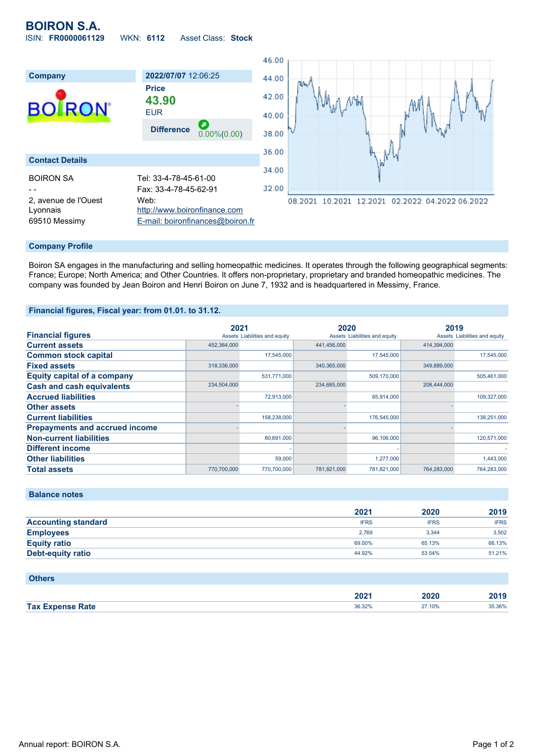# **BOIRON S.A.** ISIN: **FR0000061129** WKN: **6112** Asset Class: **Stock**



### **Company Profile**

Boiron SA engages in the manufacturing and selling homeopathic medicines. It operates through the following geographical segments: France; Europe; North America; and Other Countries. It offers non-proprietary, proprietary and branded homeopathic medicines. The company was founded by Jean Boiron and Henri Boiron on June 7, 1932 and is headquartered in Messimy, France.

### **Financial figures, Fiscal year: from 01.01. to 31.12.**

|                                       | 2021        |                               | 2020        |                               | 2019        |                               |
|---------------------------------------|-------------|-------------------------------|-------------|-------------------------------|-------------|-------------------------------|
| <b>Financial figures</b>              |             | Assets Liabilities and equity |             | Assets Liabilities and equity |             | Assets Liabilities and equity |
| <b>Current assets</b>                 | 452,364,000 |                               | 441,456,000 |                               | 414,394,000 |                               |
| <b>Common stock capital</b>           |             | 17,545,000                    |             | 17.545.000                    |             | 17.545.000                    |
| <b>Fixed assets</b>                   | 318,336,000 |                               | 340,365,000 |                               | 349,889,000 |                               |
| <b>Equity capital of a company</b>    |             | 531,771,000                   |             | 509,170,000                   |             | 505,461,000                   |
| <b>Cash and cash equivalents</b>      | 234,504,000 |                               | 234,685,000 |                               | 208,444,000 |                               |
| <b>Accrued liabilities</b>            |             | 72,913,000                    |             | 85,914,000                    |             | 109,327,000                   |
| <b>Other assets</b>                   |             |                               |             |                               |             |                               |
| <b>Current liabilities</b>            |             | 158,238,000                   |             | 176,545,000                   |             | 138,251,000                   |
| <b>Prepayments and accrued income</b> |             |                               |             |                               |             |                               |
| <b>Non-current liabilities</b>        |             | 80,691,000                    |             | 96,106,000                    |             | 120,571,000                   |
| <b>Different income</b>               |             |                               |             |                               |             |                               |
| <b>Other liabilities</b>              |             | 59,000                        |             | 1,277,000                     |             | 1,443,000                     |
| <b>Total assets</b>                   | 770.700.000 | 770.700.000                   | 781.821.000 | 781,821,000                   | 764.283.000 | 764.283.000                   |

**Balance notes**

|                            | 2021        | 2020        | 2019        |
|----------------------------|-------------|-------------|-------------|
| <b>Accounting standard</b> | <b>IFRS</b> | <b>IFRS</b> | <b>IFRS</b> |
| <b>Employees</b>           | 2.769       | 3.344       | 3.502       |
| <b>Equity ratio</b>        | 69.00%      | 65.13%      | 66.13%      |
| <b>Debt-equity ratio</b>   | 44.92%      | 53.54%      | 51.21%      |

| <b>Others</b>           |        |        |        |
|-------------------------|--------|--------|--------|
|                         | 2021   | 2020   | 2019   |
| <b>Tax Expense Rate</b> | 36.32% | 27.10% | 35.36% |